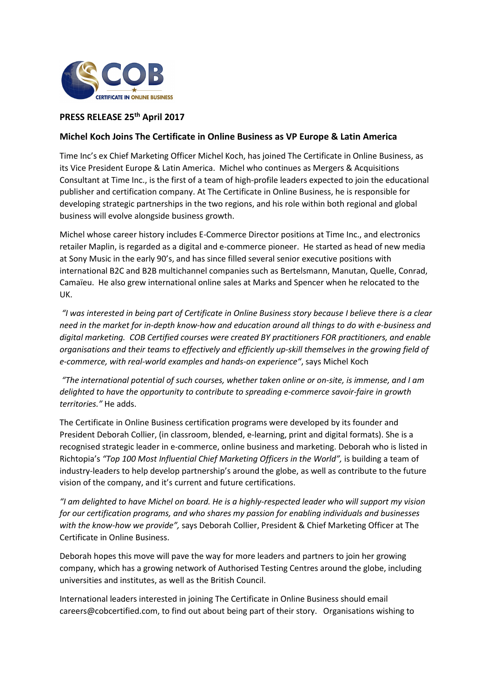

# **PRESS RELEASE 25th April 2017**

## **Michel Koch Joins The Certificate in Online Business as VP Europe & Latin America**

Time Inc's ex Chief Marketing Officer Michel Koch, has joined The Certificate in Online Business, as its Vice President Europe & Latin America. Michel who continues as Mergers & Acquisitions Consultant at Time Inc., is the first of a team of high-profile leaders expected to join the educational publisher and certification company. At The Certificate in Online Business, he is responsible for developing strategic partnerships in the two regions, and his role within both regional and global business will evolve alongside business growth.

Michel whose career history includes E-Commerce Director positions at Time Inc., and electronics retailer Maplin, is regarded as a digital and e-commerce pioneer. He started as head of new media at Sony Music in the early 90's, and has since filled several senior executive positions with international B2C and B2B multichannel companies such as Bertelsmann, Manutan, Quelle, Conrad, Camaïeu. He also grew international online sales at Marks and Spencer when he relocated to the UK.

 *"I was interested in being part of Certificate in Online Business story because I believe there is a clear need in the market for in-depth know-how and education around all things to do with e-business and digital marketing. COB Certified courses were created BY practitioners FOR practitioners, and enable organisations and their teams to effectively and efficiently up-skill themselves in the growing field of e-commerce, with real-world examples and hands-on experience"*, says Michel Koch

 *"The international potential of such courses, whether taken online or on-site, is immense, and I am delighted to have the opportunity to contribute to spreading e-commerce savoir-faire in growth territories."* He adds.

The Certificate in Online Business certification programs were developed by its founder and President Deborah Collier, (in classroom, blended, e-learning, print and digital formats). She is a recognised strategic leader in e-commerce, online business and marketing. Deborah who is listed in Richtopia's *"Top 100 Most Influential Chief Marketing Officers in the World",* is building a team of industry-leaders to help develop partnership's around the globe, as well as contribute to the future vision of the company, and it's current and future certifications.

*"I am delighted to have Michel on board. He is a highly-respected leader who will support my vision for our certification programs, and who shares my passion for enabling individuals and businesses with the know-how we provide",* says Deborah Collier, President & Chief Marketing Officer at The Certificate in Online Business.

Deborah hopes this move will pave the way for more leaders and partners to join her growing company, which has a growing network of Authorised Testing Centres around the globe, including universities and institutes, as well as the British Council.

International leaders interested in joining The Certificate in Online Business should email careers@cobcertified.com, to find out about being part of their story. Organisations wishing to